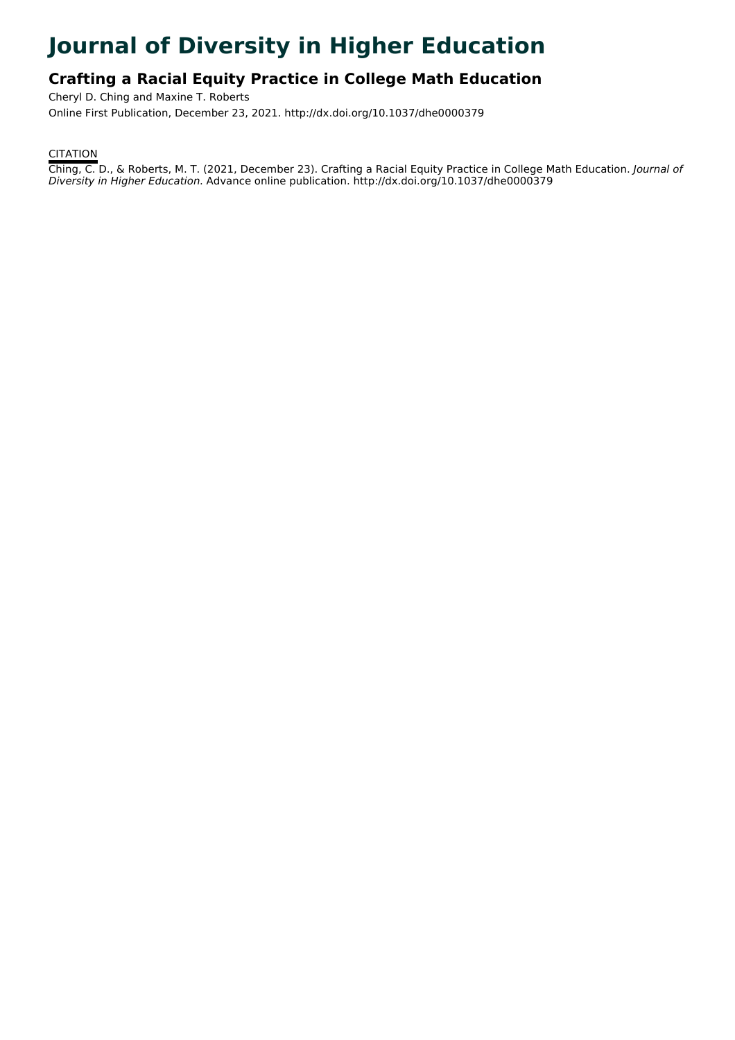# **Journal of Diversity in Higher Education**

# **Crafting a Racial Equity Practice in College Math Education**

Cheryl D. Ching and Maxine T. Roberts Online First Publication, December 23, 2021. http://dx.doi.org/10.1037/dhe0000379

**CITATION** 

Ching, C. D., & Roberts, M. T. (2021, December 23). Crafting a Racial Equity Practice in College Math Education. Journal of Diversity in Higher Education. Advance online publication. http://dx.doi.org/10.1037/dhe0000379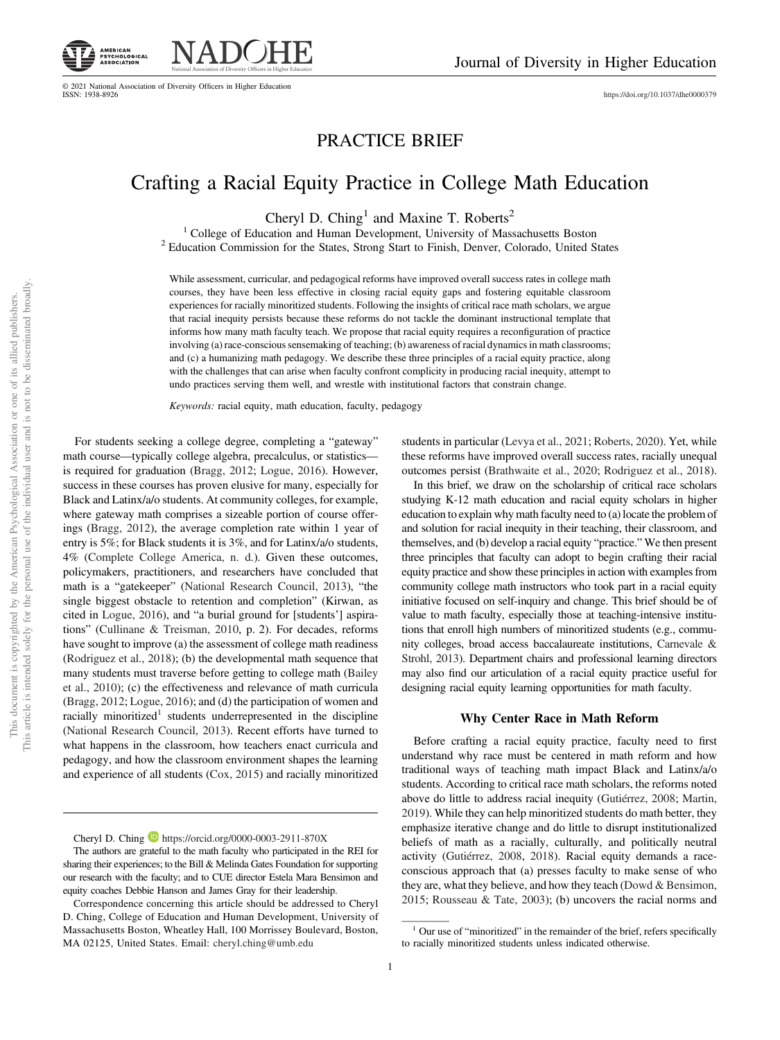

<https://doi.org/10.1037/dhe0000379>

# PRACTICE BRIEF

# Crafting a Racial Equity Practice in College Math Education

Cheryl D. Ching<sup>1</sup> and Maxine T. Roberts<sup>2</sup>

<sup>1</sup> College of Education and Human Development, University of Massachusetts Boston <sup>2</sup> Education Commission for the States, Strong Start to Finish, Denver, Colorado, United States

While assessment, curricular, and pedagogical reforms have improved overall success rates in college math courses, they have been less effective in closing racial equity gaps and fostering equitable classroom experiences for racially minoritized students. Following the insights of critical race math scholars, we argue that racial inequity persists because these reforms do not tackle the dominant instructional template that informs how many math faculty teach. We propose that racial equity requires a reconfiguration of practice involving (a) race-conscious sensemaking of teaching; (b) awareness of racial dynamics in math classrooms; and (c) a humanizing math pedagogy. We describe these three principles of a racial equity practice, along with the challenges that can arise when faculty confront complicity in producing racial inequity, attempt to undo practices serving them well, and wrestle with institutional factors that constrain change.

Keywords: racial equity, math education, faculty, pedagogy

For students seeking a college degree, completing a "gateway" math course—typically college algebra, precalculus, or statistics is required for graduation (Bragg, 2012; Logue, 2016). However, success in these courses has proven elusive for many, especially for Black and Latinx/a/o students. At community colleges, for example, where gateway math comprises a sizeable portion of course offerings (Bragg, 2012), the average completion rate within 1 year of entry is 5%; for Black students it is 3%, and for Latinx/a/o students, 4% (Complete College America, n. d.). Given these outcomes, policymakers, practitioners, and researchers have concluded that math is a "gatekeeper" (National Research Council, 2013), "the single biggest obstacle to retention and completion" (Kirwan, as cited in Logue, 2016), and "a burial ground for [students'] aspirations" (Cullinane & Treisman, 2010, p. 2). For decades, reforms have sought to improve (a) the assessment of college math readiness (Rodriguez et al., 2018); (b) the developmental math sequence that many students must traverse before getting to college math (Bailey et al., 2010); (c) the effectiveness and relevance of math curricula (Bragg, 2012; Logue, 2016); and (d) the participation of women and racially minoritized<sup>1</sup> students underrepresented in the discipline (National Research Council, 2013). Recent efforts have turned to what happens in the classroom, how teachers enact curricula and pedagogy, and how the classroom environment shapes the learning and experience of all students (Cox, 2015) and racially minoritized

students in particular (Levya et al., 2021; Roberts, 2020). Yet, while these reforms have improved overall success rates, racially unequal outcomes persist ([Brathwaite et al., 2020;](#page-4-0) Rodriguez et al., 2018).

In this brief, we draw on the scholarship of critical race scholars studying K-12 math education and racial equity scholars in higher education to explain why math faculty need to (a) locate the problem of and solution for racial inequity in their teaching, their classroom, and themselves, and (b) develop a racial equity "practice." We then present three principles that faculty can adopt to begin crafting their racial equity practice and show these principles in action with examples from community college math instructors who took part in a racial equity initiative focused on self-inquiry and change. This brief should be of value to math faculty, especially those at teaching-intensive institutions that enroll high numbers of minoritized students (e.g., community colleges, broad access baccalaureate institutions, Carnevale & Strohl, 2013). Department chairs and professional learning directors may also find our articulation of a racial equity practice useful for designing racial equity learning opportunities for math faculty.

### Why Center Race in Math Reform

Before crafting a racial equity practice, faculty need to first understand why race must be centered in math reform and how traditional ways of teaching math impact Black and Latinx/a/o students. According to critical race math scholars, the reforms noted above do little to address racial inequity (Gutiérrez, 2008; Martin, 2019). While they can help minoritized students do math better, they emphasize iterative change and do little to disrupt institutionalized beliefs of math as a racially, culturally, and politically neutral activity (Gutiérrez, 2008, 2018). Racial equity demands a raceconscious approach that (a) presses faculty to make sense of who they are, what they believe, and how they teach (Dowd & Bensimon, 2015; Rousseau & Tate, 2003); (b) uncovers the racial norms and

Cheryl D. Ching **D** <https://orcid.org/0000-0003-2911-870X>

The authors are grateful to the math faculty who participated in the REI for sharing their experiences; to the Bill & Melinda Gates Foundation for supporting our research with the faculty; and to CUE director Estela Mara Bensimon and equity coaches Debbie Hanson and James Gray for their leadership.

Correspondence concerning this article should be addressed to Cheryl D. Ching, College of Education and Human Development, University of Massachusetts Boston, Wheatley Hall, 100 Morrissey Boulevard, Boston, MA 02125, United States. Email: [cheryl.ching@umb.edu](mailto:cheryl.ching@umb.edu)

<sup>&</sup>lt;sup>1</sup> Our use of "minoritized" in the remainder of the brief, refers specifically to racially minoritized students unless indicated otherwise.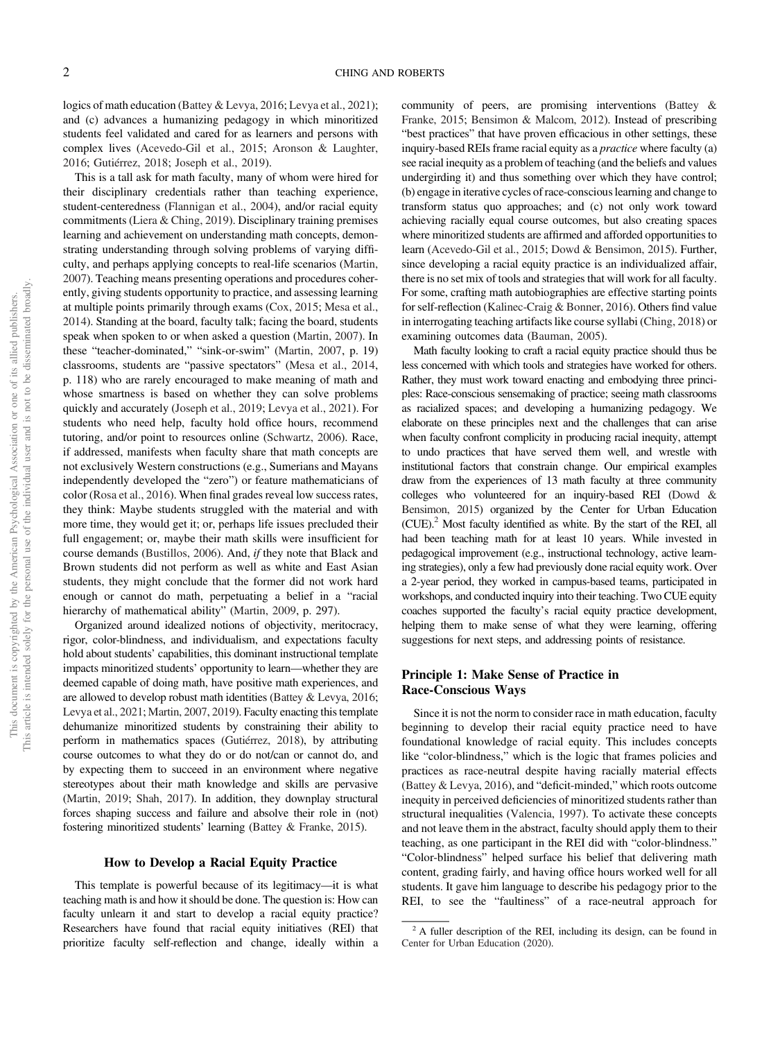logics of math education (Battey & Levya, 2016; Levya et al., 2021); and (c) advances a humanizing pedagogy in which minoritized students feel validated and cared for as learners and persons with complex lives (Acevedo-Gil et al., 2015; Aronson & Laughter, 2016; Gutiérrez, 2018; Joseph et al., 2019).

This is a tall ask for math faculty, many of whom were hired for their disciplinary credentials rather than teaching experience, student-centeredness [\(Flannigan et al., 2004\)](#page-5-0), and/or racial equity commitments (Liera & Ching, 2019). Disciplinary training premises learning and achievement on understanding math concepts, demonstrating understanding through solving problems of varying difficulty, and perhaps applying concepts to real-life scenarios (Martin, 2007). Teaching means presenting operations and procedures coherently, giving students opportunity to practice, and assessing learning at multiple points primarily through exams (Cox, 2015; Mesa et al., 2014). Standing at the board, faculty talk; facing the board, students speak when spoken to or when asked a question (Martin, 2007). In these "teacher-dominated," "sink-or-swim" (Martin, 2007, p. 19) classrooms, students are "passive spectators" (Mesa et al., 2014, p. 118) who are rarely encouraged to make meaning of math and whose smartness is based on whether they can solve problems quickly and accurately (Joseph et al., 2019; Levya et al., 2021). For students who need help, faculty hold office hours, recommend tutoring, and/or point to resources online (Schwartz, 2006). Race, if addressed, manifests when faculty share that math concepts are not exclusively Western constructions (e.g., Sumerians and Mayans independently developed the "zero") or feature mathematicians of color (Rosa et al., 2016). When final grades reveal low success rates, they think: Maybe students struggled with the material and with more time, they would get it; or, perhaps life issues precluded their full engagement; or, maybe their math skills were insufficient for course demands (Bustillos, 2006). And, if they note that Black and Brown students did not perform as well as white and East Asian students, they might conclude that the former did not work hard enough or cannot do math, perpetuating a belief in a "racial hierarchy of mathematical ability" (Martin, 2009, p. 297).

Organized around idealized notions of objectivity, meritocracy, rigor, color-blindness, and individualism, and expectations faculty hold about students' capabilities, this dominant instructional template impacts minoritized students' opportunity to learn—whether they are deemed capable of doing math, have positive math experiences, and are allowed to develop robust math identities (Battey & Levya, 2016; Levya et al., 2021; Martin, 2007, 2019). Faculty enacting this template dehumanize minoritized students by constraining their ability to perform in mathematics spaces (Gutiérrez, 2018), by attributing course outcomes to what they do or do not/can or cannot do, and by expecting them to succeed in an environment where negative stereotypes about their math knowledge and skills are pervasive (Martin, 2019; Shah, 2017). In addition, they downplay structural forces shaping success and failure and absolve their role in (not) fostering minoritized students' learning [\(Battey & Franke, 2015\)](#page-4-0).

#### How to Develop a Racial Equity Practice

This template is powerful because of its legitimacy—it is what teaching math is and how it should be done. The question is: How can faculty unlearn it and start to develop a racial equity practice? Researchers have found that racial equity initiatives (REI) that prioritize faculty self-reflection and change, ideally within a community of peers, are promising interventions [\(Battey &](#page-4-0) [Franke, 2015](#page-4-0); Bensimon & Malcom, 2012). Instead of prescribing "best practices" that have proven efficacious in other settings, these inquiry-based REIs frame racial equity as a practice where faculty (a) see racial inequity as a problem of teaching (and the beliefs and values undergirding it) and thus something over which they have control; (b) engage in iterative cycles of race-conscious learning and change to transform status quo approaches; and (c) not only work toward achieving racially equal course outcomes, but also creating spaces where minoritized students are affirmed and afforded opportunities to learn (Acevedo-Gil et al., 2015; Dowd & Bensimon, 2015). Further, since developing a racial equity practice is an individualized affair, there is no set mix of tools and strategies that will work for all faculty. For some, crafting math autobiographies are effective starting points for self-reflection (Kalinec-Craig & Bonner, 2016). Others find value in interrogating teaching artifacts like course syllabi (Ching, 2018) or examining outcomes data (Bauman, 2005).

Math faculty looking to craft a racial equity practice should thus be less concerned with which tools and strategies have worked for others. Rather, they must work toward enacting and embodying three principles: Race-conscious sensemaking of practice; seeing math classrooms as racialized spaces; and developing a humanizing pedagogy. We elaborate on these principles next and the challenges that can arise when faculty confront complicity in producing racial inequity, attempt to undo practices that have served them well, and wrestle with institutional factors that constrain change. Our empirical examples draw from the experiences of 13 math faculty at three community colleges who volunteered for an inquiry-based REI (Dowd & Bensimon, 2015) organized by the Center for Urban Education  $(CUE)<sup>2</sup>$  Most faculty identified as white. By the start of the REI, all had been teaching math for at least 10 years. While invested in pedagogical improvement (e.g., instructional technology, active learning strategies), only a few had previously done racial equity work. Over a 2-year period, they worked in campus-based teams, participated in workshops, and conducted inquiry into their teaching. Two CUE equity coaches supported the faculty's racial equity practice development, helping them to make sense of what they were learning, offering suggestions for next steps, and addressing points of resistance.

## Principle 1: Make Sense of Practice in Race-Conscious Ways

Since it is not the norm to consider race in math education, faculty beginning to develop their racial equity practice need to have foundational knowledge of racial equity. This includes concepts like "color-blindness," which is the logic that frames policies and practices as race-neutral despite having racially material effects (Battey & Levya, 2016), and "deficit-minded," which roots outcome inequity in perceived deficiencies of minoritized students rather than structural inequalities (Valencia, 1997). To activate these concepts and not leave them in the abstract, faculty should apply them to their teaching, as one participant in the REI did with "color-blindness." "Color-blindness" helped surface his belief that delivering math content, grading fairly, and having office hours worked well for all students. It gave him language to describe his pedagogy prior to the REI, to see the "faultiness" of a race-neutral approach for

<sup>&</sup>lt;sup>2</sup> A fuller description of the REI, including its design, can be found in Center for Urban Education (2020).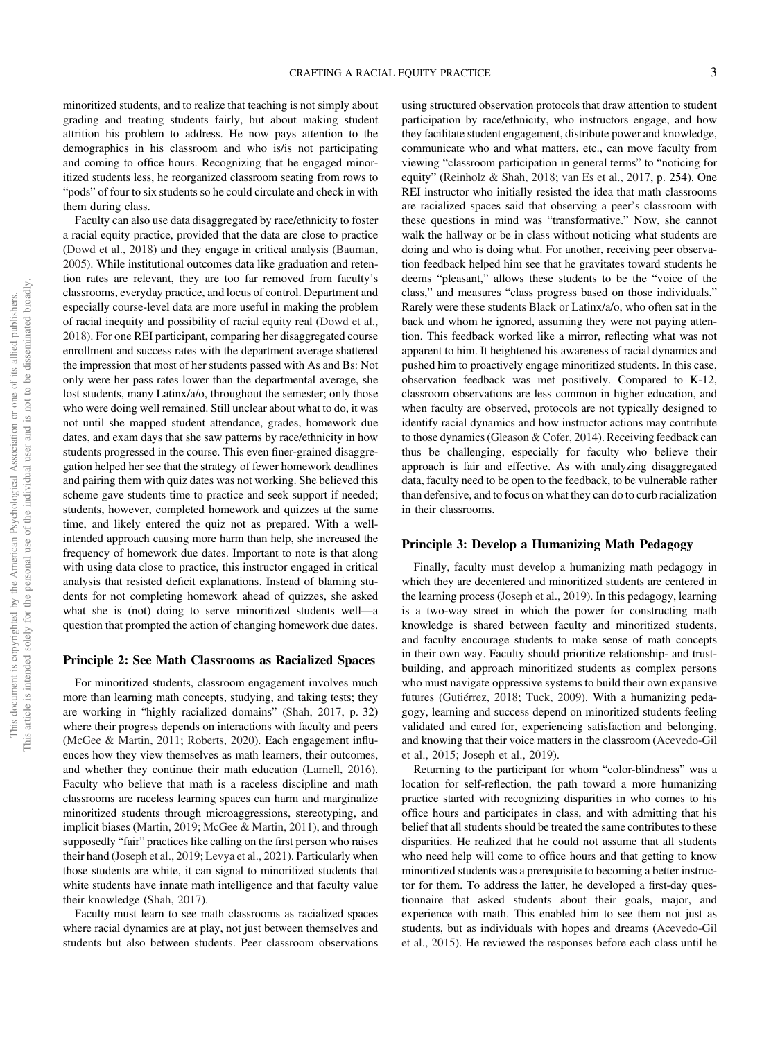minoritized students, and to realize that teaching is not simply about grading and treating students fairly, but about making student attrition his problem to address. He now pays attention to the demographics in his classroom and who is/is not participating and coming to office hours. Recognizing that he engaged minoritized students less, he reorganized classroom seating from rows to "pods" of four to six students so he could circulate and check in with them during class.

Faculty can also use data disaggregated by race/ethnicity to foster a racial equity practice, provided that the data are close to practice (Dowd et al., 2018) and they engage in critical analysis (Bauman, 2005). While institutional outcomes data like graduation and retention rates are relevant, they are too far removed from faculty's classrooms, everyday practice, and locus of control. Department and especially course-level data are more useful in making the problem of racial inequity and possibility of racial equity real (Dowd et al., 2018). For one REI participant, comparing her disaggregated course enrollment and success rates with the department average shattered the impression that most of her students passed with As and Bs: Not only were her pass rates lower than the departmental average, she lost students, many Latinx/a/o, throughout the semester; only those who were doing well remained. Still unclear about what to do, it was not until she mapped student attendance, grades, homework due dates, and exam days that she saw patterns by race/ethnicity in how students progressed in the course. This even finer-grained disaggregation helped her see that the strategy of fewer homework deadlines and pairing them with quiz dates was not working. She believed this scheme gave students time to practice and seek support if needed; students, however, completed homework and quizzes at the same time, and likely entered the quiz not as prepared. With a wellintended approach causing more harm than help, she increased the frequency of homework due dates. Important to note is that along with using data close to practice, this instructor engaged in critical analysis that resisted deficit explanations. Instead of blaming students for not completing homework ahead of quizzes, she asked what she is (not) doing to serve minoritized students well—a question that prompted the action of changing homework due dates.

#### Principle 2: See Math Classrooms as Racialized Spaces

For minoritized students, classroom engagement involves much more than learning math concepts, studying, and taking tests; they are working in "highly racialized domains" (Shah, 2017, p. 32) where their progress depends on interactions with faculty and peers (McGee & Martin, 2011; Roberts, 2020). Each engagement influences how they view themselves as math learners, their outcomes, and whether they continue their math education (Larnell, 2016). Faculty who believe that math is a raceless discipline and math classrooms are raceless learning spaces can harm and marginalize minoritized students through microaggressions, stereotyping, and implicit biases (Martin, 2019; McGee & Martin, 2011), and through supposedly "fair" practices like calling on the first person who raises their hand (Joseph et al., 2019; Levya et al., 2021). Particularly when those students are white, it can signal to minoritized students that white students have innate math intelligence and that faculty value their knowledge (Shah, 2017).

Faculty must learn to see math classrooms as racialized spaces where racial dynamics are at play, not just between themselves and students but also between students. Peer classroom observations

using structured observation protocols that draw attention to student participation by race/ethnicity, who instructors engage, and how they facilitate student engagement, distribute power and knowledge, communicate who and what matters, etc., can move faculty from viewing "classroom participation in general terms" to "noticing for equity" (Reinholz & Shah, 2018; [van Es et al., 2017](#page-5-0), p. 254). One REI instructor who initially resisted the idea that math classrooms are racialized spaces said that observing a peer's classroom with these questions in mind was "transformative." Now, she cannot walk the hallway or be in class without noticing what students are doing and who is doing what. For another, receiving peer observation feedback helped him see that he gravitates toward students he deems "pleasant," allows these students to be the "voice of the class," and measures "class progress based on those individuals." Rarely were these students Black or Latinx/a/o, who often sat in the back and whom he ignored, assuming they were not paying attention. This feedback worked like a mirror, reflecting what was not apparent to him. It heightened his awareness of racial dynamics and pushed him to proactively engage minoritized students. In this case, observation feedback was met positively. Compared to K-12, classroom observations are less common in higher education, and when faculty are observed, protocols are not typically designed to identify racial dynamics and how instructor actions may contribute to those dynamics (Gleason & Cofer, 2014). Receiving feedback can thus be challenging, especially for faculty who believe their approach is fair and effective. As with analyzing disaggregated data, faculty need to be open to the feedback, to be vulnerable rather than defensive, and to focus on what they can do to curb racialization in their classrooms.

### Principle 3: Develop a Humanizing Math Pedagogy

Finally, faculty must develop a humanizing math pedagogy in which they are decentered and minoritized students are centered in the learning process (Joseph et al., 2019). In this pedagogy, learning is a two-way street in which the power for constructing math knowledge is shared between faculty and minoritized students, and faculty encourage students to make sense of math concepts in their own way. Faculty should prioritize relationship- and trustbuilding, and approach minoritized students as complex persons who must navigate oppressive systems to build their own expansive futures (Gutiérrez, 2018; Tuck, 2009). With a humanizing pedagogy, learning and success depend on minoritized students feeling validated and cared for, experiencing satisfaction and belonging, and knowing that their voice matters in the classroom (Acevedo-Gil et al., 2015; Joseph et al., 2019).

Returning to the participant for whom "color-blindness" was a location for self-reflection, the path toward a more humanizing practice started with recognizing disparities in who comes to his office hours and participates in class, and with admitting that his belief that all students should be treated the same contributes to these disparities. He realized that he could not assume that all students who need help will come to office hours and that getting to know minoritized students was a prerequisite to becoming a better instructor for them. To address the latter, he developed a first-day questionnaire that asked students about their goals, major, and experience with math. This enabled him to see them not just as students, but as individuals with hopes and dreams (Acevedo-Gil et al., 2015). He reviewed the responses before each class until he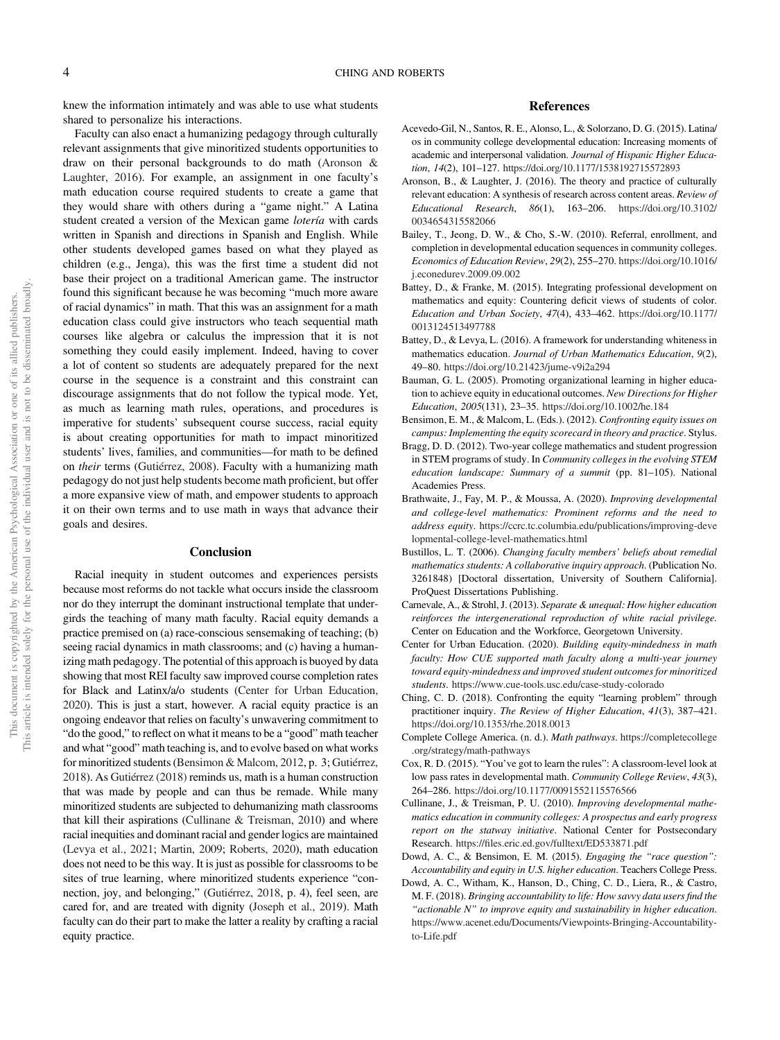<span id="page-4-0"></span>knew the information intimately and was able to use what students shared to personalize his interactions.

Faculty can also enact a humanizing pedagogy through culturally relevant assignments that give minoritized students opportunities to draw on their personal backgrounds to do math (Aronson & Laughter, 2016). For example, an assignment in one faculty's math education course required students to create a game that they would share with others during a "game night." A Latina student created a version of the Mexican game lotería with cards written in Spanish and directions in Spanish and English. While other students developed games based on what they played as children (e.g., Jenga), this was the first time a student did not base their project on a traditional American game. The instructor found this significant because he was becoming "much more aware of racial dynamics" in math. That this was an assignment for a math education class could give instructors who teach sequential math courses like algebra or calculus the impression that it is not something they could easily implement. Indeed, having to cover a lot of content so students are adequately prepared for the next course in the sequence is a constraint and this constraint can discourage assignments that do not follow the typical mode. Yet, as much as learning math rules, operations, and procedures is imperative for students' subsequent course success, racial equity is about creating opportunities for math to impact minoritized students' lives, families, and communities—for math to be defined on their terms (Gutiérrez, 2008). Faculty with a humanizing math pedagogy do not just help students become math proficient, but offer a more expansive view of math, and empower students to approach it on their own terms and to use math in ways that advance their goals and desires.

### Conclusion

Racial inequity in student outcomes and experiences persists because most reforms do not tackle what occurs inside the classroom nor do they interrupt the dominant instructional template that undergirds the teaching of many math faculty. Racial equity demands a practice premised on (a) race-conscious sensemaking of teaching; (b) seeing racial dynamics in math classrooms; and (c) having a humanizing math pedagogy. The potential of this approach is buoyed by data showing that most REI faculty saw improved course completion rates for Black and Latinx/a/o students (Center for Urban Education, 2020). This is just a start, however. A racial equity practice is an ongoing endeavor that relies on faculty's unwavering commitment to "do the good," to reflect on what it means to be a "good" math teacher and what "good" math teaching is, and to evolve based on what works for minoritized students (Bensimon & Malcom, 2012, p. 3; Gutiérrez, 2018). As Gutiérrez (2018) reminds us, math is a human construction that was made by people and can thus be remade. While many minoritized students are subjected to dehumanizing math classrooms that kill their aspirations (Cullinane & Treisman, 2010) and where racial inequities and dominant racial and gender logics are maintained (Levya et al., 2021; Martin, 2009; Roberts, 2020), math education does not need to be this way. It is just as possible for classrooms to be sites of true learning, where minoritized students experience "connection, joy, and belonging," (Gutiérrez, 2018, p. 4), feel seen, are cared for, and are treated with dignity (Joseph et al., 2019). Math faculty can do their part to make the latter a reality by crafting a racial equity practice.

### References

- Acevedo-Gil, N., Santos, R. E., Alonso, L., & Solorzano, D. G. (2015). Latina/ os in community college developmental education: Increasing moments of academic and interpersonal validation. Journal of Hispanic Higher Education, 14(2), 101–127. <https://doi.org/10.1177/1538192715572893>
- Aronson, B., & Laughter, J. (2016). The theory and practice of culturally relevant education: A synthesis of research across content areas. Review of Educational Research, 86(1), 163–206. [https://doi.org/10.3102/](https://doi.org/10.3102/0034654315582066) [0034654315582066](https://doi.org/10.3102/0034654315582066)
- Bailey, T., Jeong, D. W., & Cho, S.-W. (2010). Referral, enrollment, and completion in developmental education sequences in community colleges. Economics of Education Review, 29(2), 255–270. [https://doi.org/10.1016/](https://doi.org/10.1016/j.econedurev.2009.09.002) [j.econedurev.2009.09.002](https://doi.org/10.1016/j.econedurev.2009.09.002)
- Battey, D., & Franke, M. (2015). Integrating professional development on mathematics and equity: Countering deficit views of students of color. Education and Urban Society, 47(4), 433–462. [https://doi.org/10.1177/](https://doi.org/10.1177/0013124513497788) [0013124513497788](https://doi.org/10.1177/0013124513497788)
- Battey, D., & Levya, L. (2016). A framework for understanding whiteness in mathematics education. Journal of Urban Mathematics Education, 9(2), 49–80. <https://doi.org/10.21423/jume-v9i2a294>
- Bauman, G. L. (2005). Promoting organizational learning in higher education to achieve equity in educational outcomes. New Directions for Higher Education, 2005(131), 23–35. <https://doi.org/10.1002/he.184>
- Bensimon, E. M., & Malcom, L. (Eds.). (2012). Confronting equity issues on campus: Implementing the equity scorecard in theory and practice. Stylus.
- Bragg, D. D. (2012). Two-year college mathematics and student progression in STEM programs of study. In Community colleges in the evolving STEM education landscape: Summary of a summit (pp. 81–105). National Academies Press.
- Brathwaite, J., Fay, M. P., & Moussa, A. (2020). Improving developmental and college-level mathematics: Prominent reforms and the need to address equity. [https://ccrc.tc.columbia.edu/publications/improving-deve](https://ccrc.tc.columbia.edu/publications/improving-developmental-college-level-mathematics.html) [lopmental-college-level-mathematics.html](https://ccrc.tc.columbia.edu/publications/improving-developmental-college-level-mathematics.html)
- Bustillos, L. T. (2006). Changing faculty members' beliefs about remedial mathematics students: A collaborative inquiry approach. (Publication No. 3261848) [Doctoral dissertation, University of Southern California]. ProQuest Dissertations Publishing.
- Carnevale, A., & Strohl, J. (2013). Separate & unequal: How higher education reinforces the intergenerational reproduction of white racial privilege. Center on Education and the Workforce, Georgetown University.
- Center for Urban Education. (2020). Building equity-mindedness in math faculty: How CUE supported math faculty along a multi-year journey toward equity-mindedness and improved student outcomes for minoritized students. <https://www.cue-tools.usc.edu/case-study-colorado>
- Ching, C. D. (2018). Confronting the equity "learning problem" through practitioner inquiry. The Review of Higher Education, 41(3), 387–421. <https://doi.org/10.1353/rhe.2018.0013>
- Complete College America. (n. d.). Math pathways. [https://completecollege](https://completecollege.org/strategy/math-pathways) [.org/strategy/math-pathways](https://completecollege.org/strategy/math-pathways)
- Cox, R. D. (2015). "You've got to learn the rules": A classroom-level look at low pass rates in developmental math. Community College Review, 43(3), 264–286. <https://doi.org/10.1177/0091552115576566>
- Cullinane, J., & Treisman, P. U. (2010). Improving developmental mathematics education in community colleges: A prospectus and early progress report on the statway initiative. National Center for Postsecondary Research. [https://](https://files.eric.ed.gov/fulltext/ED533871.pdf)fi[les.eric.ed.gov/fulltext/ED533871.pdf](https://files.eric.ed.gov/fulltext/ED533871.pdf)
- Dowd, A. C., & Bensimon, E. M. (2015). Engaging the "race question": Accountability and equity in U.S. higher education. Teachers College Press.
- Dowd, A. C., Witham, K., Hanson, D., Ching, C. D., Liera, R., & Castro, M. F. (2018). Bringing accountability to life: How savvy data users find the "actionable N" to improve equity and sustainability in higher education. [https://www.acenet.edu/Documents/Viewpoints-Bringing-Accountability](https://www.acenet.edu/Documents/Viewpoints-Bringing-Accountability-to-Life.pdf)[to-Life.pdf](https://www.acenet.edu/Documents/Viewpoints-Bringing-Accountability-to-Life.pdf)